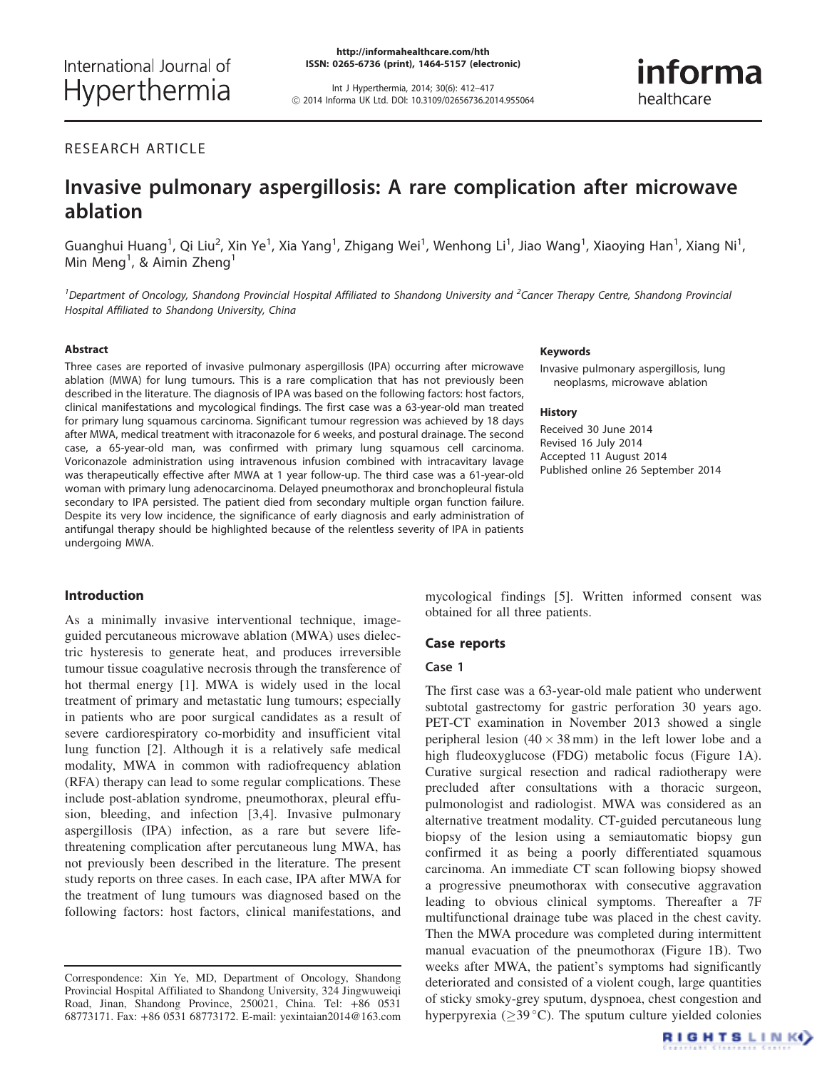Int J Hyperthermia, 2014; 30(6): 412–417 ! 2014 Informa UK Ltd. DOI: 10.3109/02656736.2014.955064

# RESEARCH ARTICLE

# Invasive pulmonary aspergillosis: A rare complication after microwave ablation

Guanghui Huang<sup>1</sup>, Qi Liu<sup>2</sup>, Xin Ye<sup>1</sup>, Xia Yang<sup>1</sup>, Zhigang Wei<sup>1</sup>, Wenhong Li<sup>1</sup>, Jiao Wang<sup>1</sup>, Xiaoying Han<sup>1</sup>, Xiang Ni<sup>1</sup>, Min Meng<sup>1</sup>, & Aimin Zheng<sup>1</sup>

<sup>1</sup> Department of Oncology, Shandong Provincial Hospital Affiliated to Shandong University and <sup>2</sup>Cancer Therapy Centre, Shandong Provincial Hospital Affiliated to Shandong University, China

#### Abstract

Three cases are reported of invasive pulmonary aspergillosis (IPA) occurring after microwave ablation (MWA) for lung tumours. This is a rare complication that has not previously been described in the literature. The diagnosis of IPA was based on the following factors: host factors, clinical manifestations and mycological findings. The first case was a 63-year-old man treated for primary lung squamous carcinoma. Significant tumour regression was achieved by 18 days after MWA, medical treatment with itraconazole for 6 weeks, and postural drainage. The second case, a 65-year-old man, was confirmed with primary lung squamous cell carcinoma. Voriconazole administration using intravenous infusion combined with intracavitary lavage was therapeutically effective after MWA at 1 year follow-up. The third case was a 61-year-old woman with primary lung adenocarcinoma. Delayed pneumothorax and bronchopleural fistula secondary to IPA persisted. The patient died from secondary multiple organ function failure. Despite its very low incidence, the significance of early diagnosis and early administration of antifungal therapy should be highlighted because of the relentless severity of IPA in patients undergoing MWA.

## Introduction

As a minimally invasive interventional technique, imageguided percutaneous microwave ablation (MWA) uses dielectric hysteresis to generate heat, and produces irreversible tumour tissue coagulative necrosis through the transference of hot thermal energy [[1\]](#page-4-0). MWA is widely used in the local treatment of primary and metastatic lung tumours; especially in patients who are poor surgical candidates as a result of severe cardiorespiratory co-morbidity and insufficient vital lung function [[2\]](#page-4-0). Although it is a relatively safe medical modality, MWA in common with radiofrequency ablation (RFA) therapy can lead to some regular complications. These include post-ablation syndrome, pneumothorax, pleural effusion, bleeding, and infection [\[3](#page-4-0),[4\]](#page-4-0). Invasive pulmonary aspergillosis (IPA) infection, as a rare but severe lifethreatening complication after percutaneous lung MWA, has not previously been described in the literature. The present study reports on three cases. In each case, IPA after MWA for the treatment of lung tumours was diagnosed based on the following factors: host factors, clinical manifestations, and

#### Keywords

Invasive pulmonary aspergillosis, lung neoplasms, microwave ablation

#### History

Received 30 June 2014 Revised 16 July 2014 Accepted 11 August 2014 Published online 26 September 2014

mycological findings [\[5](#page-4-0)]. Written informed consent was obtained for all three patients.

# Case reports

# Case 1

The first case was a 63-year-old male patient who underwent subtotal gastrectomy for gastric perforation 30 years ago. PET-CT examination in November 2013 showed a single peripheral lesion  $(40 \times 38 \text{ mm})$  in the left lower lobe and a high fludeoxyglucose (FDG) metabolic focus ([Figure 1A](#page-1-0)). Curative surgical resection and radical radiotherapy were precluded after consultations with a thoracic surgeon, pulmonologist and radiologist. MWA was considered as an alternative treatment modality. CT-guided percutaneous lung biopsy of the lesion using a semiautomatic biopsy gun confirmed it as being a poorly differentiated squamous carcinoma. An immediate CT scan following biopsy showed a progressive pneumothorax with consecutive aggravation leading to obvious clinical symptoms. Thereafter a 7F multifunctional drainage tube was placed in the chest cavity. Then the MWA procedure was completed during intermittent manual evacuation of the pneumothorax [\(Figure 1B\)](#page-1-0). Two weeks after MWA, the patient's symptoms had significantly deteriorated and consisted of a violent cough, large quantities of sticky smoky-grey sputum, dyspnoea, chest congestion and hyperpyrexia ( $\geq$ 39 °C). The sputum culture yielded colonies



Correspondence: Xin Ye, MD, Department of Oncology, Shandong Provincial Hospital Affiliated to Shandong University, 324 Jingwuweiqi Road, Jinan, Shandong Province, 250021, China. Tel: +86 0531 68773171. Fax: +86 0531 68773172. E-mail: yexintaian2014@163.com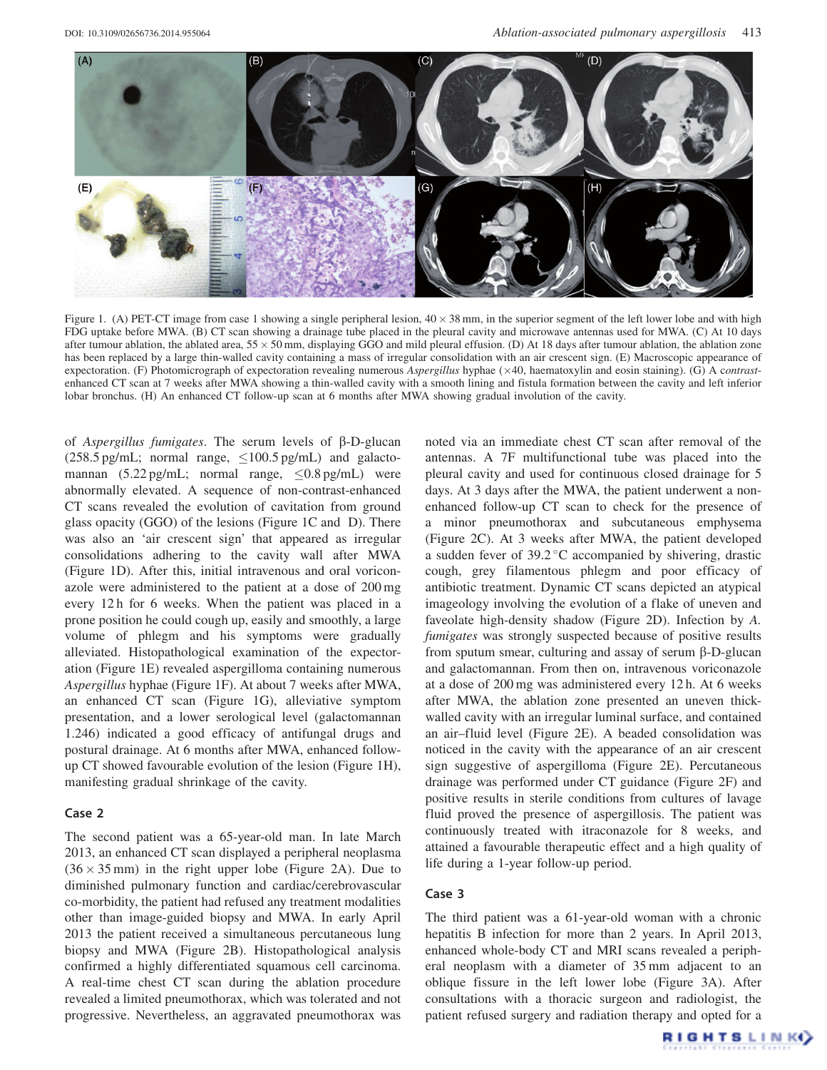<span id="page-1-0"></span>



Figure 1. (A) PET-CT image from case 1 showing a single peripheral lesion,  $40 \times 38$  mm, in the superior segment of the left lower lobe and with high FDG uptake before MWA. (B) CT scan showing a drainage tube placed in the pleural cavity and microwave antennas used for MWA. (C) At 10 days after tumour ablation, the ablated area,  $55 \times 50$  mm, displaying GGO and mild pleural effusion. (D) At 18 days after tumour ablation, the ablation zone has been replaced by a large thin-walled cavity containing a mass of irregular consolidation with an air crescent sign. (E) Macroscopic appearance of expectoration. (F) Photomicrograph of expectoration revealing numerous Aspergillus hyphae (×40, haematoxylin and eosin staining). (G) A contrastenhanced CT scan at 7 weeks after MWA showing a thin-walled cavity with a smooth lining and fistula formation between the cavity and left inferior lobar bronchus. (H) An enhanced CT follow-up scan at 6 months after MWA showing gradual involution of the cavity.

of Aspergillus fumigates. The serum levels of  $\beta$ -D-glucan  $(258.5 \,\text{pg/mL};$  normal range,  $\leq 100.5 \,\text{pg/mL}$  and galactomannan  $(5.22 \text{ pg/mL}$ ; normal range,  $\leq 0.8 \text{ pg/mL}$  were abnormally elevated. A sequence of non-contrast-enhanced CT scans revealed the evolution of cavitation from ground glass opacity (GGO) of the lesions (Figure 1C and D). There was also an 'air crescent sign' that appeared as irregular consolidations adhering to the cavity wall after MWA (Figure 1D). After this, initial intravenous and oral voriconazole were administered to the patient at a dose of 200 mg every 12 h for 6 weeks. When the patient was placed in a prone position he could cough up, easily and smoothly, a large volume of phlegm and his symptoms were gradually alleviated. Histopathological examination of the expectoration (Figure 1E) revealed aspergilloma containing numerous Aspergillus hyphae (Figure 1F). At about 7 weeks after MWA, an enhanced CT scan (Figure 1G), alleviative symptom presentation, and a lower serological level (galactomannan 1.246) indicated a good efficacy of antifungal drugs and postural drainage. At 6 months after MWA, enhanced followup CT showed favourable evolution of the lesion (Figure 1H), manifesting gradual shrinkage of the cavity.

# Case 2

The second patient was a 65-year-old man. In late March 2013, an enhanced CT scan displayed a peripheral neoplasma  $(36 \times 35 \text{ mm})$  in the right upper lobe [\(Figure 2A](#page-2-0)). Due to diminished pulmonary function and cardiac/cerebrovascular co-morbidity, the patient had refused any treatment modalities other than image-guided biopsy and MWA. In early April 2013 the patient received a simultaneous percutaneous lung biopsy and MWA ([Figure 2B](#page-2-0)). Histopathological analysis confirmed a highly differentiated squamous cell carcinoma. A real-time chest CT scan during the ablation procedure revealed a limited pneumothorax, which was tolerated and not progressive. Nevertheless, an aggravated pneumothorax was noted via an immediate chest CT scan after removal of the antennas. A 7F multifunctional tube was placed into the pleural cavity and used for continuous closed drainage for 5 days. At 3 days after the MWA, the patient underwent a nonenhanced follow-up CT scan to check for the presence of a minor pneumothorax and subcutaneous emphysema [\(Figure 2C\)](#page-2-0). At 3 weeks after MWA, the patient developed a sudden fever of 39.2 °C accompanied by shivering, drastic cough, grey filamentous phlegm and poor efficacy of antibiotic treatment. Dynamic CT scans depicted an atypical imageology involving the evolution of a flake of uneven and faveolate high-density shadow [\(Figure 2D\)](#page-2-0). Infection by A. fumigates was strongly suspected because of positive results from sputum smear, culturing and assay of serum  $\beta$ -D-glucan and galactomannan. From then on, intravenous voriconazole at a dose of 200 mg was administered every 12 h. At 6 weeks after MWA, the ablation zone presented an uneven thickwalled cavity with an irregular luminal surface, and contained an air–fluid level [\(Figure 2E\)](#page-2-0). A beaded consolidation was noticed in the cavity with the appearance of an air crescent sign suggestive of aspergilloma ([Figure 2E\)](#page-2-0). Percutaneous drainage was performed under CT guidance ([Figure 2F\)](#page-2-0) and positive results in sterile conditions from cultures of lavage fluid proved the presence of aspergillosis. The patient was continuously treated with itraconazole for 8 weeks, and attained a favourable therapeutic effect and a high quality of life during a 1-year follow-up period.

# Case 3

The third patient was a 61-year-old woman with a chronic hepatitis B infection for more than 2 years. In April 2013, enhanced whole-body CT and MRI scans revealed a peripheral neoplasm with a diameter of 35 mm adjacent to an oblique fissure in the left lower lobe ([Figure 3A](#page-2-0)). After consultations with a thoracic surgeon and radiologist, the patient refused surgery and radiation therapy and opted for a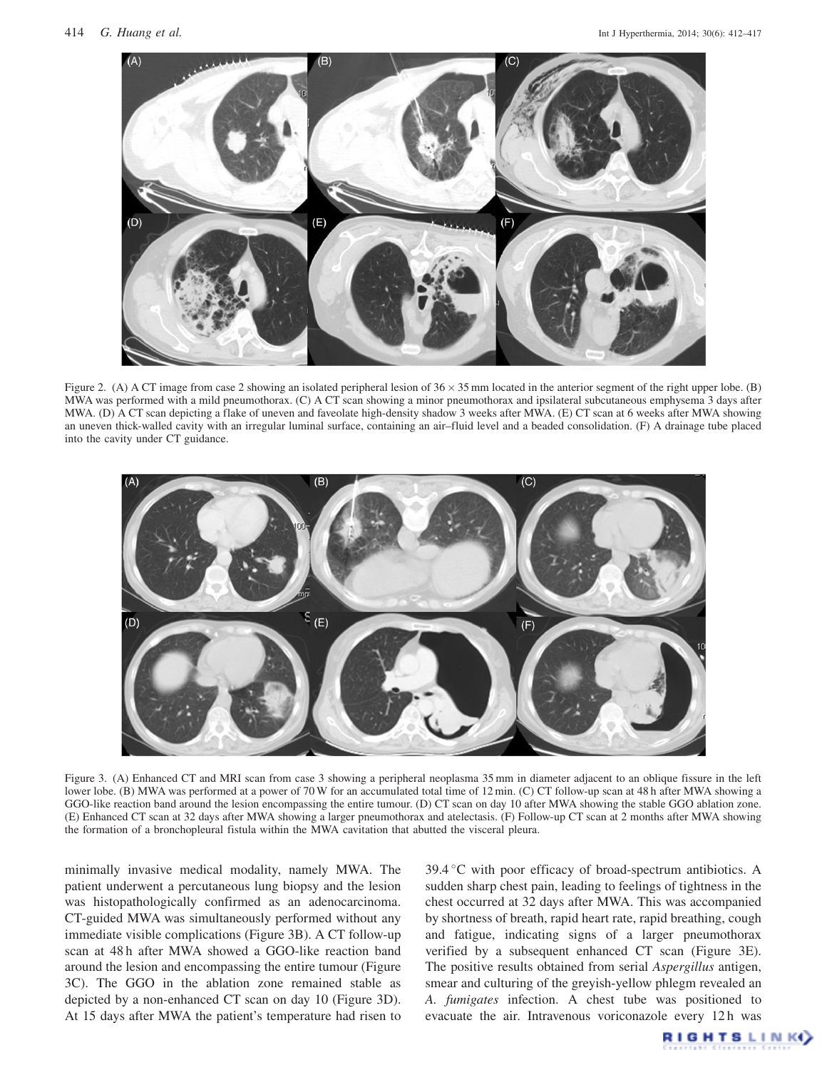<span id="page-2-0"></span>

Figure 2. (A) A CT image from case 2 showing an isolated peripheral lesion of  $36 \times 35$  mm located in the anterior segment of the right upper lobe. (B) MWA was performed with a mild pneumothorax. (C) A CT scan showing a minor pneumothorax and ipsilateral subcutaneous emphysema 3 days after MWA. (D) A CT scan depicting a flake of uneven and faveolate high-density shadow 3 weeks after MWA. (E) CT scan at 6 weeks after MWA showing an uneven thick-walled cavity with an irregular luminal surface, containing an air–fluid level and a beaded consolidation. (F) A drainage tube placed into the cavity under CT guidance.



Figure 3. (A) Enhanced CT and MRI scan from case 3 showing a peripheral neoplasma 35 mm in diameter adjacent to an oblique fissure in the left lower lobe. (B) MWA was performed at a power of 70 W for an accumulated total time of 12 min. (C) CT follow-up scan at 48 h after MWA showing a GGO-like reaction band around the lesion encompassing the entire tumour. (D) CT scan on day 10 after MWA showing the stable GGO ablation zone. (E) Enhanced CT scan at 32 days after MWA showing a larger pneumothorax and atelectasis. (F) Follow-up CT scan at 2 months after MWA showing the formation of a bronchopleural fistula within the MWA cavitation that abutted the visceral pleura.

minimally invasive medical modality, namely MWA. The patient underwent a percutaneous lung biopsy and the lesion was histopathologically confirmed as an adenocarcinoma. CT-guided MWA was simultaneously performed without any immediate visible complications (Figure 3B). A CT follow-up scan at 48 h after MWA showed a GGO-like reaction band around the lesion and encompassing the entire tumour (Figure 3C). The GGO in the ablation zone remained stable as depicted by a non-enhanced CT scan on day 10 (Figure 3D). At 15 days after MWA the patient's temperature had risen to  $39.4$  °C with poor efficacy of broad-spectrum antibiotics. A sudden sharp chest pain, leading to feelings of tightness in the chest occurred at 32 days after MWA. This was accompanied by shortness of breath, rapid heart rate, rapid breathing, cough and fatigue, indicating signs of a larger pneumothorax verified by a subsequent enhanced CT scan (Figure 3E). The positive results obtained from serial Aspergillus antigen, smear and culturing of the greyish-yellow phlegm revealed an A. fumigates infection. A chest tube was positioned to evacuate the air. Intravenous voriconazole every 12 h was

**RIGHTSLINKO**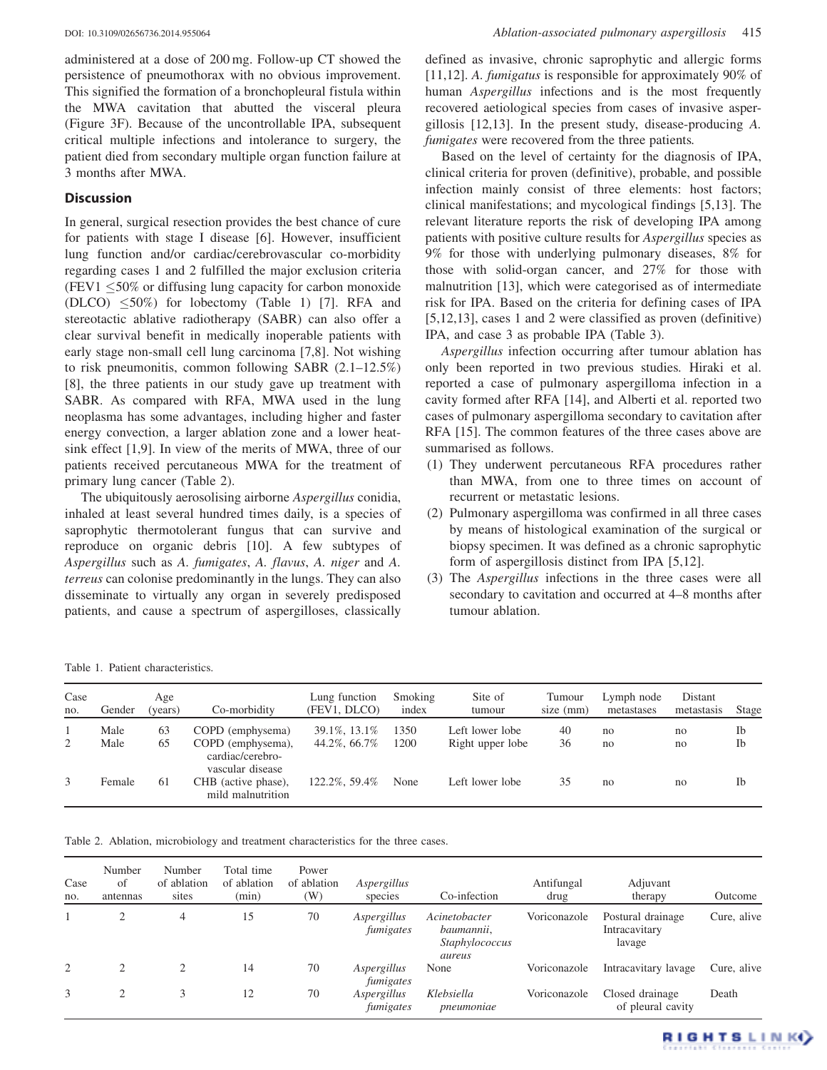<span id="page-3-0"></span>

administered at a dose of 200 mg. Follow-up CT showed the persistence of pneumothorax with no obvious improvement. This signified the formation of a bronchopleural fistula within the MWA cavitation that abutted the visceral pleura [\(Figure 3F\)](#page-2-0). Because of the uncontrollable IPA, subsequent critical multiple infections and intolerance to surgery, the patient died from secondary multiple organ function failure at 3 months after MWA.

# **Discussion**

In general, surgical resection provides the best chance of cure for patients with stage I disease [[6\]](#page-4-0). However, insufficient lung function and/or cardiac/cerebrovascular co-morbidity regarding cases 1 and 2 fulfilled the major exclusion criteria (FEV1  $\leq$ 50% or diffusing lung capacity for carbon monoxide (DLCO)  $\leq 50\%$ ) for lobectomy (Table 1) [[7\]](#page-4-0). RFA and stereotactic ablative radiotherapy (SABR) can also offer a clear survival benefit in medically inoperable patients with early stage non-small cell lung carcinoma [[7,8](#page-4-0)]. Not wishing to risk pneumonitis, common following SABR (2.1–12.5%) [\[8](#page-4-0)], the three patients in our study gave up treatment with SABR. As compared with RFA, MWA used in the lung neoplasma has some advantages, including higher and faster energy convection, a larger ablation zone and a lower heatsink effect [\[1](#page-4-0),[9\]](#page-4-0). In view of the merits of MWA, three of our patients received percutaneous MWA for the treatment of primary lung cancer (Table 2).

The ubiquitously aerosolising airborne Aspergillus conidia, inhaled at least several hundred times daily, is a species of saprophytic thermotolerant fungus that can survive and reproduce on organic debris [\[10](#page-4-0)]. A few subtypes of Aspergillus such as A. fumigates, A. flavus, A. niger and A. terreus can colonise predominantly in the lungs. They can also disseminate to virtually any organ in severely predisposed patients, and cause a spectrum of aspergilloses, classically defined as invasive, chronic saprophytic and allergic forms [\[11](#page-4-0),[12\]](#page-4-0). A. *fumigatus* is responsible for approximately 90% of human Aspergillus infections and is the most frequently recovered aetiological species from cases of invasive aspergillosis [[12,13](#page-4-0)]. In the present study, disease-producing A. fumigates were recovered from the three patients.

Based on the level of certainty for the diagnosis of IPA, clinical criteria for proven (definitive), probable, and possible infection mainly consist of three elements: host factors; clinical manifestations; and mycological findings [[5,13](#page-4-0)]. The relevant literature reports the risk of developing IPA among patients with positive culture results for Aspergillus species as 9% for those with underlying pulmonary diseases, 8% for those with solid-organ cancer, and 27% for those with malnutrition [\[13](#page-4-0)], which were categorised as of intermediate risk for IPA. Based on the criteria for defining cases of IPA [\[5](#page-4-0),[12,13](#page-4-0)], cases 1 and 2 were classified as proven (definitive) IPA, and case 3 as probable IPA ([Table 3\)](#page-4-0).

Aspergillus infection occurring after tumour ablation has only been reported in two previous studies. Hiraki et al. reported a case of pulmonary aspergilloma infection in a cavity formed after RFA [[14\]](#page-5-0), and Alberti et al. reported two cases of pulmonary aspergilloma secondary to cavitation after RFA [\[15](#page-5-0)]. The common features of the three cases above are summarised as follows.

- (1) They underwent percutaneous RFA procedures rather than MWA, from one to three times on account of recurrent or metastatic lesions.
- (2) Pulmonary aspergilloma was confirmed in all three cases by means of histological examination of the surgical or biopsy specimen. It was defined as a chronic saprophytic form of aspergillosis distinct from IPA [\[5](#page-4-0),[12\]](#page-4-0).
- (3) The Aspergillus infections in the three cases were all secondary to cavitation and occurred at 4–8 months after tumour ablation.

Table 1. Patient characteristics.

| Case<br>no. | Gender       | Age<br>(years) | Co-morbidity                                                 | Lung function<br>(FEV1, DLCO) | Smoking<br>index | Site of<br>tumour                   | Tumour<br>size (mm) | Lymph node<br>metastases | Distant<br>metastasis | Stage    |
|-------------|--------------|----------------|--------------------------------------------------------------|-------------------------------|------------------|-------------------------------------|---------------------|--------------------------|-----------------------|----------|
| 2           | Male<br>Male | 63<br>65       | COPD (emphysema)<br>COPD (emphysema),<br>cardiac/cerebro-    | 39.1%, 13.1%<br>44.2%, 66.7%  | 1350<br>1200     | Left lower lobe<br>Right upper lobe | 40<br>36            | no<br>no                 | no<br>no              | Ib<br>Ib |
| 3           | Female       | 61             | vascular disease<br>CHB (active phase),<br>mild malnutrition | 122.2%, 59.4%                 | None             | Left lower lobe                     | 35                  | no                       | no                    | Ib       |

Table 2. Ablation, microbiology and treatment characteristics for the three cases.

| Case<br>no.    | Number<br>of<br>antennas | Number<br>of ablation<br>sites | Total time<br>of ablation<br>(min) | Power<br>of ablation<br>$(\mathrm{W})$ | Aspergillus<br>species   | Co-infection                                            | Antifungal<br>drug | Adjuvant<br>therapy                          | Outcome     |
|----------------|--------------------------|--------------------------------|------------------------------------|----------------------------------------|--------------------------|---------------------------------------------------------|--------------------|----------------------------------------------|-------------|
|                | 2                        | 4                              | 15                                 | 70                                     | Aspergillus<br>fumigates | Acinetobacter<br>baumannii,<br>Staphylococcus<br>aureus | Voriconazole       | Postural drainage<br>Intracavitary<br>lavage | Cure, alive |
| $\overline{2}$ | $\mathfrak{D}$           |                                | 14                                 | 70                                     | Aspergillus<br>fumigates | None                                                    | Voriconazole       | Intracavitary lavage                         | Cure, alive |
| 3              | 2                        | 3                              | 12                                 | 70                                     | Aspergillus<br>fumigates | Klebsiella<br>pneumoniae                                | Voriconazole       | Closed drainage<br>of pleural cavity         | Death       |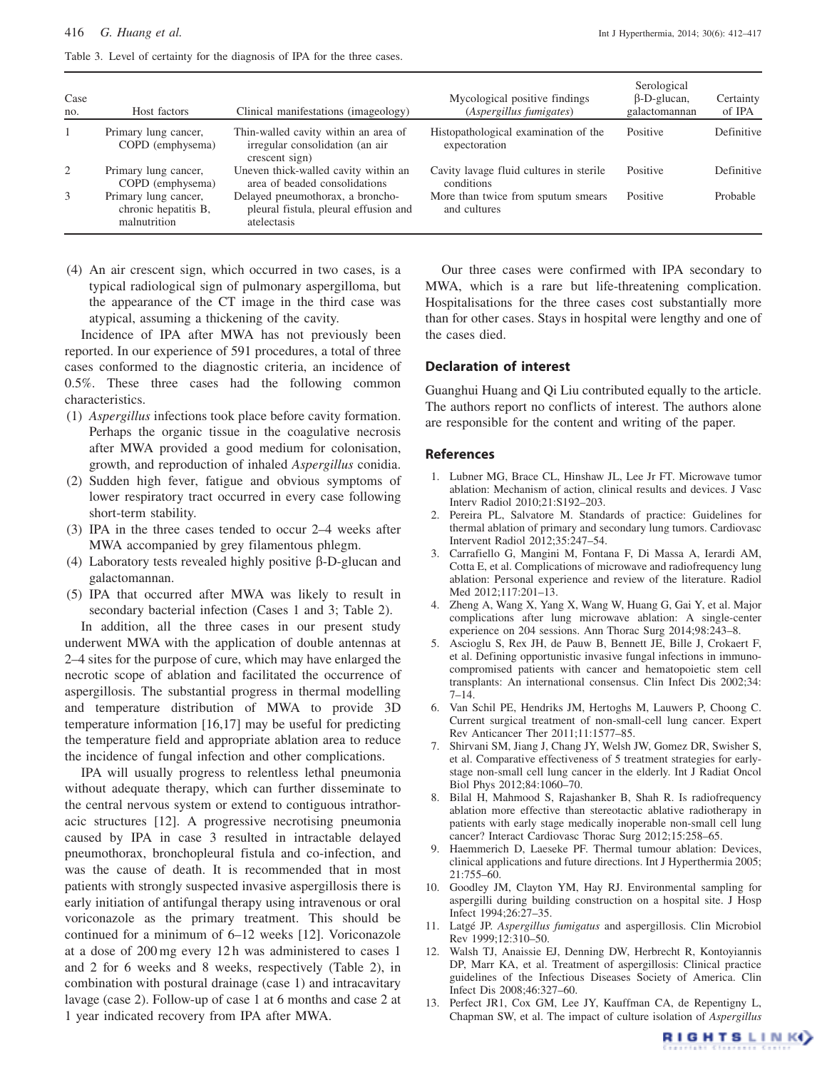<span id="page-4-0"></span>Table 3. Level of certainty for the diagnosis of IPA for the three cases.

| Case<br>no.    | Host factors                                                 | Clinical manifestations (imageology)                                                      | Mycological positive findings<br>(Aspergillus fumigates) | Serological<br>$\beta$ -D-glucan,<br>galactomannan | Certainty<br>of IPA |
|----------------|--------------------------------------------------------------|-------------------------------------------------------------------------------------------|----------------------------------------------------------|----------------------------------------------------|---------------------|
| $\overline{1}$ | Primary lung cancer,<br>COPD (emphysema)                     | Thin-walled cavity within an area of<br>irregular consolidation (an air<br>crescent sign) | Histopathological examination of the<br>expectoration    | Positive                                           | Definitive          |
| 2              | Primary lung cancer,<br>COPD (emphysema)                     | Uneven thick-walled cavity within an<br>area of beaded consolidations                     | Cavity lavage fluid cultures in sterile<br>conditions    | Positive                                           | Definitive          |
| 3              | Primary lung cancer,<br>chronic hepatitis B,<br>malnutrition | Delayed pneumothorax, a broncho-<br>pleural fistula, pleural effusion and<br>atelectasis  | More than twice from sputum smears<br>and cultures       | Positive                                           | Probable            |

(4) An air crescent sign, which occurred in two cases, is a typical radiological sign of pulmonary aspergilloma, but the appearance of the CT image in the third case was atypical, assuming a thickening of the cavity.

Incidence of IPA after MWA has not previously been reported. In our experience of 591 procedures, a total of three cases conformed to the diagnostic criteria, an incidence of 0.5%. These three cases had the following common characteristics.

- (1) Aspergillus infections took place before cavity formation. Perhaps the organic tissue in the coagulative necrosis after MWA provided a good medium for colonisation, growth, and reproduction of inhaled Aspergillus conidia.
- (2) Sudden high fever, fatigue and obvious symptoms of lower respiratory tract occurred in every case following short-term stability.
- (3) IPA in the three cases tended to occur 2–4 weeks after MWA accompanied by grey filamentous phlegm.
- (4) Laboratory tests revealed highly positive  $\beta$ -D-glucan and galactomannan.
- (5) IPA that occurred after MWA was likely to result in secondary bacterial infection (Cases 1 and 3; [Table 2](#page-3-0)).

In addition, all the three cases in our present study underwent MWA with the application of double antennas at 2–4 sites for the purpose of cure, which may have enlarged the necrotic scope of ablation and facilitated the occurrence of aspergillosis. The substantial progress in thermal modelling and temperature distribution of MWA to provide 3D temperature information [\[16](#page-5-0),[17](#page-5-0)] may be useful for predicting the temperature field and appropriate ablation area to reduce the incidence of fungal infection and other complications.

IPA will usually progress to relentless lethal pneumonia without adequate therapy, which can further disseminate to the central nervous system or extend to contiguous intrathoracic structures [12]. A progressive necrotising pneumonia caused by IPA in case 3 resulted in intractable delayed pneumothorax, bronchopleural fistula and co-infection, and was the cause of death. It is recommended that in most patients with strongly suspected invasive aspergillosis there is early initiation of antifungal therapy using intravenous or oral voriconazole as the primary treatment. This should be continued for a minimum of 6–12 weeks [12]. Voriconazole at a dose of 200 mg every 12 h was administered to cases 1 and 2 for 6 weeks and 8 weeks, respectively ([Table 2\)](#page-3-0), in combination with postural drainage (case 1) and intracavitary lavage (case 2). Follow-up of case 1 at 6 months and case 2 at 1 year indicated recovery from IPA after MWA.

Our three cases were confirmed with IPA secondary to MWA, which is a rare but life-threatening complication. Hospitalisations for the three cases cost substantially more than for other cases. Stays in hospital were lengthy and one of the cases died.

## Declaration of interest

Guanghui Huang and Qi Liu contributed equally to the article. The authors report no conflicts of interest. The authors alone are responsible for the content and writing of the paper.

### References

- 1. Lubner MG, Brace CL, Hinshaw JL, Lee Jr FT. Microwave tumor ablation: Mechanism of action, clinical results and devices. J Vasc Interv Radiol 2010;21:S192–203.
- 2. Pereira PL, Salvatore M. Standards of practice: Guidelines for thermal ablation of primary and secondary lung tumors. Cardiovasc Intervent Radiol 2012;35:247–54.
- 3. Carrafiello G, Mangini M, Fontana F, Di Massa A, Ierardi AM, Cotta E, et al. Complications of microwave and radiofrequency lung ablation: Personal experience and review of the literature. Radiol Med 2012;117:201–13.
- 4. Zheng A, Wang X, Yang X, Wang W, Huang G, Gai Y, et al. Major complications after lung microwave ablation: A single-center experience on 204 sessions. Ann Thorac Surg 2014;98:243–8.
- 5. Ascioglu S, Rex JH, de Pauw B, Bennett JE, Bille J, Crokaert F, et al. Defining opportunistic invasive fungal infections in immunocompromised patients with cancer and hematopoietic stem cell transplants: An international consensus. Clin Infect Dis 2002;34: 7–14.
- 6. Van Schil PE, Hendriks JM, Hertoghs M, Lauwers P, Choong C. Current surgical treatment of non-small-cell lung cancer. Expert Rev Anticancer Ther 2011;11:1577–85.
- 7. Shirvani SM, Jiang J, Chang JY, Welsh JW, Gomez DR, Swisher S, et al. Comparative effectiveness of 5 treatment strategies for earlystage non-small cell lung cancer in the elderly. Int J Radiat Oncol Biol Phys 2012;84:1060–70.
- 8. Bilal H, Mahmood S, Rajashanker B, Shah R. Is radiofrequency ablation more effective than stereotactic ablative radiotherapy in patients with early stage medically inoperable non-small cell lung cancer? Interact Cardiovasc Thorac Surg 2012;15:258–65.
- 9. Haemmerich D, Laeseke PF. Thermal tumour ablation: Devices, clinical applications and future directions. Int J Hyperthermia 2005; 21:755–60.
- 10. Goodley JM, Clayton YM, Hay RJ. Environmental sampling for aspergilli during building construction on a hospital site. J Hosp Infect 1994;26:27–35.
- 11. Latgé JP. Aspergillus fumigatus and aspergillosis. Clin Microbiol Rev 1999;12:310–50.
- 12. Walsh TJ, Anaissie EJ, Denning DW, Herbrecht R, Kontoyiannis DP, Marr KA, et al. Treatment of aspergillosis: Clinical practice guidelines of the Infectious Diseases Society of America. Clin Infect Dis 2008;46:327–60.
- 13. Perfect JR1, Cox GM, Lee JY, Kauffman CA, de Repentigny L, Chapman SW, et al. The impact of culture isolation of Aspergillus